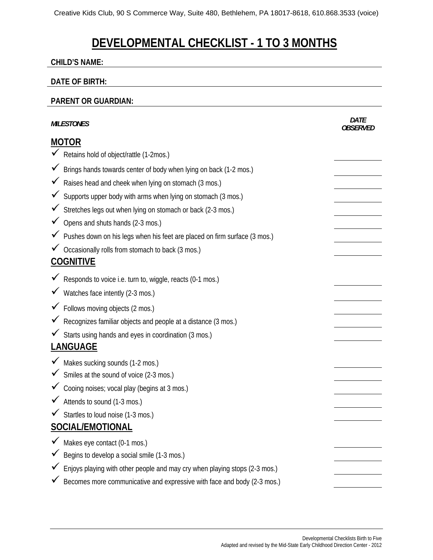# **DEVELOPMENTAL CHECKLIST - 1 TO 3 MONTHS**

#### **CHILD'S NAME:**

#### **DATE OF BIRTH:**

#### **PARENT OR GUARDIAN:**

|                  | <b>MILESTONES</b>                                                          | <b>DATE</b><br><i>OBSFRVFD</i> |
|------------------|----------------------------------------------------------------------------|--------------------------------|
| <b>MOTOR</b>     |                                                                            |                                |
|                  | Ketains hold of object/rattle (1-2mos.)                                    |                                |
|                  | Brings hands towards center of body when lying on back (1-2 mos.)          |                                |
|                  | Raises head and cheek when lying on stomach (3 mos.)                       |                                |
|                  | Supports upper body with arms when lying on stomach (3 mos.)               |                                |
| $\checkmark$     | Stretches legs out when lying on stomach or back (2-3 mos.)                |                                |
|                  | Opens and shuts hands (2-3 mos.)                                           |                                |
|                  | Pushes down on his legs when his feet are placed on firm surface (3 mos.)  |                                |
|                  | ✔ Occasionally rolls from stomach to back (3 mos.)                         |                                |
| <b>COGNITIVE</b> |                                                                            |                                |
|                  | Responds to voice i.e. turn to, wiggle, reacts (0-1 mos.)                  |                                |
|                  | Watches face intently (2-3 mos.)                                           |                                |
|                  | Follows moving objects (2 mos.)                                            |                                |
|                  | Recognizes familiar objects and people at a distance (3 mos.)              |                                |
|                  | ✔ Starts using hands and eyes in coordination (3 mos.)                     |                                |
| <b>LANGUAGE</b>  |                                                                            |                                |
|                  | Makes sucking sounds (1-2 mos.)                                            |                                |
|                  | $\checkmark$ Smiles at the sound of voice (2-3 mos.)                       |                                |
|                  | Cooing noises; vocal play (begins at 3 mos.)                               |                                |
|                  | Attends to sound (1-3 mos.)                                                |                                |
|                  | Startles to loud noise (1-3 mos.)                                          |                                |
| SOCIAL/EMOTIONAL |                                                                            |                                |
|                  | Makes eye contact (0-1 mos.)                                               |                                |
|                  | Begins to develop a social smile (1-3 mos.)                                |                                |
|                  | Enjoys playing with other people and may cry when playing stops (2-3 mos.) |                                |
|                  | Becomes more communicative and expressive with face and body (2-3 mos.)    |                                |